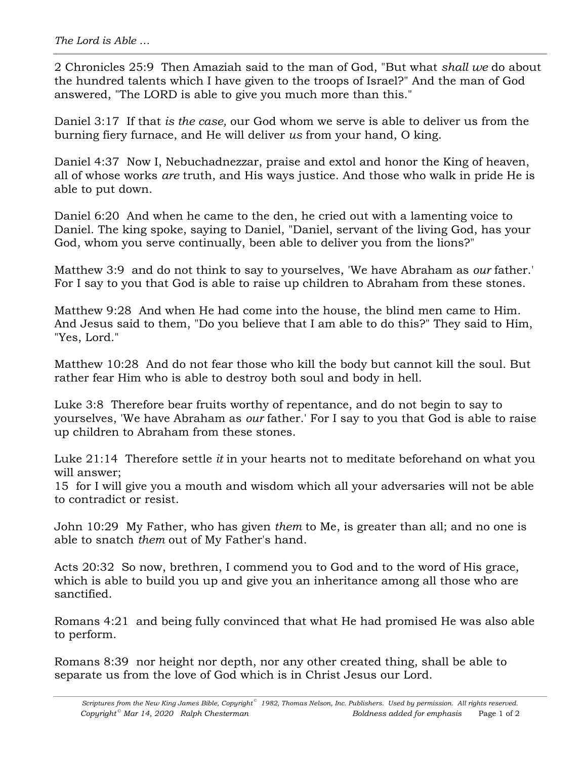2 Chronicles 25:9 Then Amaziah said to the man of God, "But what *shall we* do about the hundred talents which I have given to the troops of Israel?" And the man of God answered, "The LORD is able to give you much more than this."

Daniel 3:17 If that *is the case,* our God whom we serve is able to deliver us from the burning fiery furnace, and He will deliver *us* from your hand, O king.

Daniel 4:37 Now I, Nebuchadnezzar, praise and extol and honor the King of heaven, all of whose works *are* truth, and His ways justice. And those who walk in pride He is able to put down.

Daniel 6:20 And when he came to the den, he cried out with a lamenting voice to Daniel. The king spoke, saying to Daniel, "Daniel, servant of the living God, has your God, whom you serve continually, been able to deliver you from the lions?"

Matthew 3:9 and do not think to say to yourselves, 'We have Abraham as *our* father.' For I say to you that God is able to raise up children to Abraham from these stones.

Matthew 9:28 And when He had come into the house, the blind men came to Him. And Jesus said to them, "Do you believe that I am able to do this?" They said to Him, "Yes, Lord."

Matthew 10:28 And do not fear those who kill the body but cannot kill the soul. But rather fear Him who is able to destroy both soul and body in hell.

Luke 3:8 Therefore bear fruits worthy of repentance, and do not begin to say to yourselves, 'We have Abraham as *our* father.' For I say to you that God is able to raise up children to Abraham from these stones.

Luke 21:14 Therefore settle *it* in your hearts not to meditate beforehand on what you will answer;

15 for I will give you a mouth and wisdom which all your adversaries will not be able to contradict or resist.

John 10:29 My Father, who has given *them* to Me, is greater than all; and no one is able to snatch *them* out of My Father's hand.

Acts 20:32 So now, brethren, I commend you to God and to the word of His grace, which is able to build you up and give you an inheritance among all those who are sanctified.

Romans 4:21 and being fully convinced that what He had promised He was also able to perform.

Romans 8:39 nor height nor depth, nor any other created thing, shall be able to separate us from the love of God which is in Christ Jesus our Lord.